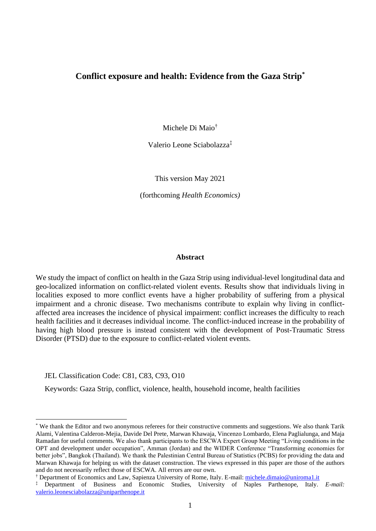# **Conflict exposure and health: Evidence from the Gaza Strip\***

Michele Di Maio†

Valerio Leone Sciabolazza‡

This version May 2021

(forthcoming *Health Economics)*

#### **Abstract**

We study the impact of conflict on health in the Gaza Strip using individual-level longitudinal data and geo-localized information on conflict-related violent events. Results show that individuals living in localities exposed to more conflict events have a higher probability of suffering from a physical impairment and a chronic disease. Two mechanisms contribute to explain why living in conflictaffected area increases the incidence of physical impairment: conflict increases the difficulty to reach health facilities and it decreases individual income. The conflict-induced increase in the probability of having high blood pressure is instead consistent with the development of Post-Traumatic Stress Disorder (PTSD) due to the exposure to conflict-related violent events.

JEL Classification Code: C81, C83, C93, O10

Keywords: Gaza Strip, conflict, violence, health, household income, health facilities

† Department of Economics and Law, Sapienza University of Rome, Italy. E-mail: [michele.dimaio@uniroma1.it](mailto:michele.dimaio@uniroma1.it)

<sup>\*</sup> We thank the Editor and two anonymous referees for their constructive comments and suggestions. We also thank Tarik Alami, Valentina Calderon-Mejia, Davide Del Prete, Marwan Khawaja, Vincenzo Lombardo, Elena Paglialunga, and Maja Ramadan for useful comments. We also thank participants to the ESCWA Expert Group Meeting "Living conditions in the OPT and development under occupation", Amman (Jordan) and the WIDER Conference "Transforming economies for better jobs", Bangkok (Thailand). We thank the Palestinian Central Bureau of Statistics (PCBS) for providing the data and Marwan Khawaja for helping us with the dataset construction. The views expressed in this paper are those of the authors and do not necessarily reflect those of ESCWA. All errors are our own.

<sup>‡</sup> Department of Business and Economic Studies, University of Naples Parthenope, Italy. *E-mail:*  [valerio.leonesciabolazza@uniparthenope.it](mailto:valerio.leonesciabolazza@uniparthenope.it)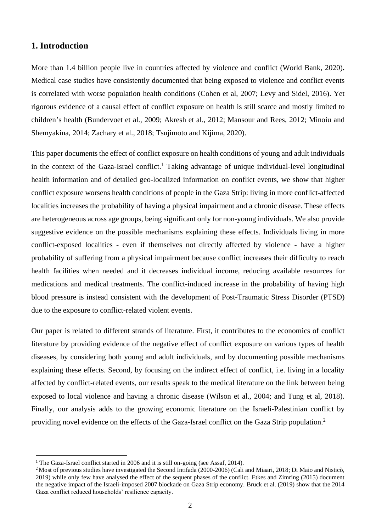# **1. Introduction**

More than 1.4 billion people live in countries affected by violence and conflict (World Bank, 2020)**.**  Medical case studies have consistently documented that being exposed to violence and conflict events is correlated with worse population health conditions (Cohen et al, 2007; Levy and Sidel, 2016). Yet rigorous evidence of a causal effect of conflict exposure on health is still scarce and mostly limited to children's health (Bundervoet et al., 2009; Akresh et al., 2012; Mansour and Rees, 2012; Minoiu and Shemyakina, 2014; Zachary et al., 2018; Tsujimoto and Kijima, 2020).

This paper documents the effect of conflict exposure on health conditions of young and adult individuals in the context of the Gaza-Israel conflict. <sup>1</sup> Taking advantage of unique individual-level longitudinal health information and of detailed geo-localized information on conflict events, we show that higher conflict exposure worsens health conditions of people in the Gaza Strip: living in more conflict-affected localities increases the probability of having a physical impairment and a chronic disease. These effects are heterogeneous across age groups, being significant only for non-young individuals. We also provide suggestive evidence on the possible mechanisms explaining these effects. Individuals living in more conflict-exposed localities - even if themselves not directly affected by violence - have a higher probability of suffering from a physical impairment because conflict increases their difficulty to reach health facilities when needed and it decreases individual income, reducing available resources for medications and medical treatments. The conflict-induced increase in the probability of having high blood pressure is instead consistent with the development of Post-Traumatic Stress Disorder (PTSD) due to the exposure to conflict-related violent events.

Our paper is related to different strands of literature. First, it contributes to the economics of conflict literature by providing evidence of the negative effect of conflict exposure on various types of health diseases, by considering both young and adult individuals, and by documenting possible mechanisms explaining these effects. Second, by focusing on the indirect effect of conflict, i.e. living in a locality affected by conflict-related events, our results speak to the medical literature on the link between being exposed to local violence and having a chronic disease (Wilson et al., 2004; and Tung et al, 2018). Finally, our analysis adds to the growing economic literature on the Israeli-Palestinian conflict by providing novel evidence on the effects of the Gaza-Israel conflict on the Gaza Strip population.<sup>2</sup>

<sup>&</sup>lt;sup>1</sup> The Gaza-Israel conflict started in 2006 and it is still on-going (see Assaf, 2014).

<sup>&</sup>lt;sup>2</sup> Most of previous studies have investigated the Second Intifada (2000-2006) (Cali and Miaari, 2018; Di Maio and Nisticò, 2019) while only few have analysed the effect of the sequent phases of the conflict. Etkes and Zimring (2015) document the negative impact of the Israeli-imposed 2007 blockade on Gaza Strip economy. Bruck et al. (2019) show that the 2014 Gaza conflict reduced households' resilience capacity.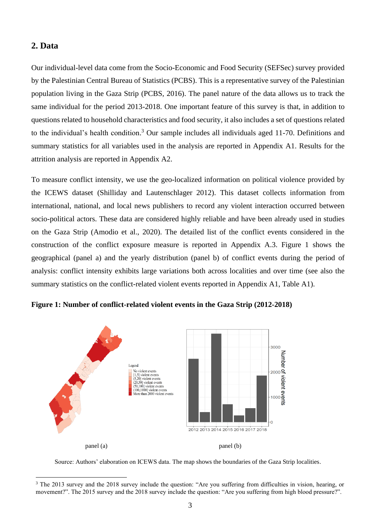# **2. Data**

Our individual-level data come from the Socio-Economic and Food Security (SEFSec) survey provided by the Palestinian Central Bureau of Statistics (PCBS). This is a representative survey of the Palestinian population living in the Gaza Strip (PCBS, 2016). The panel nature of the data allows us to track the same individual for the period 2013-2018. One important feature of this survey is that, in addition to questions related to household characteristics and food security, it also includes a set of questions related to the individual's health condition. <sup>3</sup> Our sample includes all individuals aged 11-70. Definitions and summary statistics for all variables used in the analysis are reported in Appendix A1. Results for the attrition analysis are reported in Appendix A2.

To measure conflict intensity, we use the geo-localized information on political violence provided by the ICEWS dataset (Shilliday and Lautenschlager 2012). This dataset collects information from international, national, and local news publishers to record any violent interaction occurred between socio-political actors. These data are considered highly reliable and have been already used in studies on the Gaza Strip (Amodio et al., 2020). The detailed list of the conflict events considered in the construction of the conflict exposure measure is reported in Appendix A.3. Figure 1 shows the geographical (panel a) and the yearly distribution (panel b) of conflict events during the period of analysis: conflict intensity exhibits large variations both across localities and over time (see also the summary statistics on the conflict-related violent events reported in Appendix A1, Table A1).





Source: Authors' elaboration on ICEWS data. The map shows the boundaries of the Gaza Strip localities.

<sup>&</sup>lt;sup>3</sup> The 2013 survey and the 2018 survey include the question: "Are you suffering from difficulties in vision, hearing, or movement?". The 2015 survey and the 2018 survey include the question: "Are you suffering from high blood pressure?".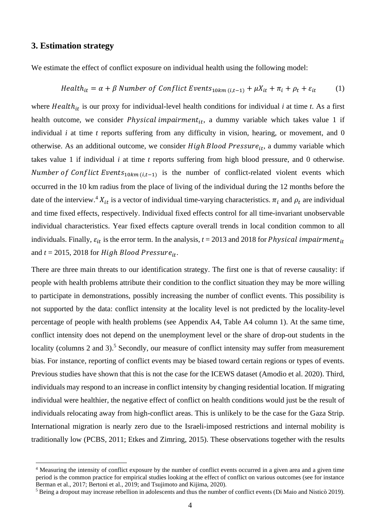# **3. Estimation strategy**

We estimate the effect of conflict exposure on individual health using the following model:

$$
Health_{it} = \alpha + \beta Number of Conflict Events_{10km(i,t-1)} + \mu X_{it} + \pi_i + \rho_t + \varepsilon_{it}
$$
 (1)

where  $Health_{it}$  is our proxy for individual-level health conditions for individual *i* at time *t*. As a first health outcome, we consider *Physical impairment<sub>it</sub>*, a dummy variable which takes value 1 if individual *i* at time *t* reports suffering from any difficulty in vision, hearing, or movement, and 0 otherwise. As an additional outcome, we consider  $High Blood Pressure_{it}$ , a dummy variable which takes value 1 if individual *i* at time *t* reports suffering from high blood pressure, and 0 otherwise. *Number of Conflict Events*<sub>10 $km (i,t-1)$  is the number of conflict-related violent events which</sub> occurred in the 10 km radius from the place of living of the individual during the 12 months before the date of the interview.<sup>4</sup>  $X_{it}$  is a vector of individual time-varying characteristics.  $\pi_i$  and  $\rho_t$  are individual and time fixed effects, respectively. Individual fixed effects control for all time-invariant unobservable individual characteristics. Year fixed effects capture overall trends in local condition common to all individuals. Finally,  $\varepsilon_{it}$  is the error term. In the analysis,  $t = 2013$  and 2018 for *Physical impairment*<sub>it</sub> and  $t = 2015$ , 2018 for *High Blood Pressure*<sub>it</sub>.

There are three main threats to our identification strategy. The first one is that of reverse causality: if people with health problems attribute their condition to the conflict situation they may be more willing to participate in demonstrations, possibly increasing the number of conflict events. This possibility is not supported by the data: conflict intensity at the locality level is not predicted by the locality-level percentage of people with health problems (see Appendix A4, Table A4 column 1). At the same time, conflict intensity does not depend on the unemployment level or the share of drop-out students in the locality (columns 2 and 3).<sup>5</sup> Secondly, our measure of conflict intensity may suffer from measurement bias. For instance, reporting of conflict events may be biased toward certain regions or types of events. Previous studies have shown that this is not the case for the ICEWS dataset (Amodio et al. 2020). Third, individuals may respond to an increase in conflict intensity by changing residential location. If migrating individual were healthier, the negative effect of conflict on health conditions would just be the result of individuals relocating away from high-conflict areas. This is unlikely to be the case for the Gaza Strip. International migration is nearly zero due to the Israeli-imposed restrictions and internal mobility is traditionally low (PCBS, 2011; Etkes and Zimring, 2015). These observations together with the results

<sup>4</sup> Measuring the intensity of conflict exposure by the number of conflict events occurred in a given area and a given time period is the common practice for empirical studies looking at the effect of conflict on various outcomes (see for instance Berman et al., 2017; Bertoni et al., 2019; and Tsujimoto and Kijima, 2020).

<sup>5</sup> Being a dropout may increase rebellion in adolescents and thus the number of conflict events (Di Maio and Nisticò 2019).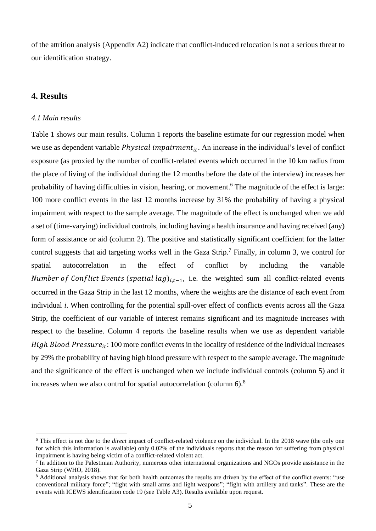of the attrition analysis (Appendix A2) indicate that conflict-induced relocation is not a serious threat to our identification strategy.

## **4. Results**

#### *4.1 Main results*

Table 1 shows our main results. Column 1 reports the baseline estimate for our regression model when we use as dependent variable *Physical impairment<sub>it</sub>*. An increase in the individual's level of conflict exposure (as proxied by the number of conflict-related events which occurred in the 10 km radius from the place of living of the individual during the 12 months before the date of the interview) increases her probability of having difficulties in vision, hearing, or movement.<sup>6</sup> The magnitude of the effect is large: 100 more conflict events in the last 12 months increase by 31% the probability of having a physical impairment with respect to the sample average. The magnitude of the effect is unchanged when we add a set of (time-varying) individual controls, including having a health insurance and having received (any) form of assistance or aid (column 2). The positive and statistically significant coefficient for the latter control suggests that aid targeting works well in the Gaza Strip.<sup>7</sup> Finally, in column 3, we control for spatial autocorrelation in the effect of conflict by including the variable Number of Conflict Events (spatial lag)<sub>i.t-1</sub>, i.e. the weighted sum all conflict-related events occurred in the Gaza Strip in the last 12 months, where the weights are the distance of each event from individual *i*. When controlling for the potential spill-over effect of conflicts events across all the Gaza Strip, the coefficient of our variable of interest remains significant and its magnitude increases with respect to the baseline. Column 4 reports the baseline results when we use as dependent variable *High Blood Pressure*<sub>it</sub>: 100 more conflict events in the locality of residence of the individual increases by 29% the probability of having high blood pressure with respect to the sample average. The magnitude and the significance of the effect is unchanged when we include individual controls (column 5) and it increases when we also control for spatial autocorrelation (column  $6$ ).<sup>8</sup>

<sup>6</sup> This effect is not due to the *direct* impact of conflict-related violence on the individual. In the 2018 wave (the only one for which this information is available) only 0.02% of the individuals reports that the reason for suffering from physical impairment is having being victim of a conflict-related violent act.

<sup>7</sup> In addition to the Palestinian Authority, numerous other international organizations and NGOs provide assistance in the Gaza Strip (WHO, 2018).

<sup>&</sup>lt;sup>8</sup> Additional analysis shows that for both health outcomes the results are driven by the effect of the conflict events: "use conventional military force"; "fight with small arms and light weapons"; "fight with artillery and tanks". These are the events with ICEWS identification code 19 (see Table A3). Results available upon request.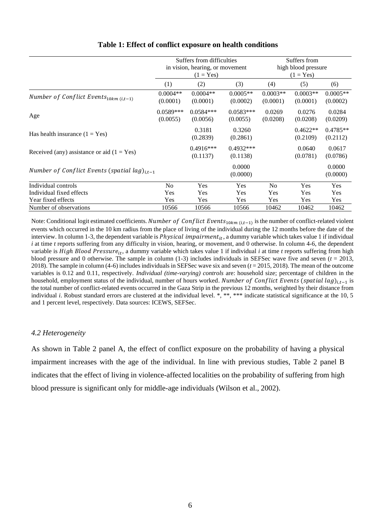|                                                         | Suffers from difficulties<br>in vision, hearing, or movement<br>$(1 = Yes)$ |                         | Suffers from<br>high blood pressure<br>$(1 = Yes)$ |                        |                        |                        |
|---------------------------------------------------------|-----------------------------------------------------------------------------|-------------------------|----------------------------------------------------|------------------------|------------------------|------------------------|
|                                                         | (1)                                                                         | (2)                     | (3)                                                | (4)                    | (5)                    | (6)                    |
| Number of Conflict Events $_{10km(i,t-1)}$              | $0.0004**$<br>(0.0001)                                                      | $0.0004**$<br>(0.0001)  | $0.0005**$<br>(0.0002)                             | $0.0003**$<br>(0.0001) | $0.0003**$<br>(0.0001) | $0.0005**$<br>(0.0002) |
| Age                                                     | $0.0589***$<br>(0.0055)                                                     | $0.0584***$<br>(0.0056) | $0.0583***$<br>(0.0055)                            | 0.0269<br>(0.0208)     | 0.0276<br>(0.0208)     | 0.0284<br>(0.0209)     |
| Has health insurance $(1 = Yes)$                        |                                                                             | 0.3181<br>(0.2839)      | 0.3260<br>(0.2861)                                 |                        | $0.4622**$<br>(0.2109) | $0.4785**$<br>(0.2112) |
| Received (any) assistance or aid $(1 = Yes)$            |                                                                             | $0.4916***$<br>(0.1137) | $0.4932***$<br>(0.1138)                            |                        | 0.0640<br>(0.0781)     | 0.0617<br>(0.0786)     |
| Number of Conflict Events (spatial lag) <sub>it-1</sub> |                                                                             |                         | 0.0000<br>(0.0000)                                 |                        |                        | 0.0000<br>(0.0000)     |
| Individual controls                                     | N <sub>0</sub>                                                              | Yes                     | Yes                                                | N <sub>0</sub>         | Yes                    | Yes                    |
| Individual fixed effects                                | Yes                                                                         | Yes                     | Yes                                                | <b>Yes</b>             | Yes                    | <b>Yes</b>             |
| Year fixed effects                                      | Yes                                                                         | Yes                     | Yes                                                | Yes                    | Yes                    | <b>Yes</b>             |
| Number of observations                                  | 10566                                                                       | 10566                   | 10566                                              | 10462                  | 10462                  | 10462                  |

## **Table 1: Effect of conflict exposure on health conditions**

Note: Conditional logit estimated coefficients. Number of Conflict Events<sub>10km (i,t-1</sub>) is the number of conflict-related violent events which occurred in the 10 km radius from the place of living of the individual during the 12 months before the date of the interview. In column 1-3, the dependent variable is *Physical impairment<sub>it</sub>*, a dummy variable which takes value 1 if individual *i* at time *t* reports suffering from any difficulty in vision, hearing, or movement, and 0 otherwise. In column 4-6, the dependent variable is *High Blood Pressure<sub>it</sub>*, a dummy variable which takes value 1 if individual *i* at time *t* reports suffering from high blood pressure and 0 otherwise. The sample in column  $(1-3)$  includes individuals in SEFSec wave five and seven  $(t = 2013,$ 2018). The sample in column (4-6) includes individuals in SEFSec wave six and seven (*t* = 2015, 2018). The mean of the outcome variables is 0.12 and 0.11, respectively. *Individual (time-varying) controls* are: household size; percentage of children in the household, employment status of the individual, number of hours worked. Number of Conflict Events (spatial lag)<sub>i,t−1</sub> is the total number of conflict-related events occurred in the Gaza Strip in the previous 12 months, weighted by their distance from individual *i*. Robust standard errors are clustered at the individual level. \*, \*\*, \*\*\* indicate statistical significance at the 10, 5 and 1 percent level, respectively. Data sources: ICEWS, SEFSec.

## *4.2 Heterogeneity*

As shown in Table 2 panel A, the effect of conflict exposure on the probability of having a physical impairment increases with the age of the individual. In line with previous studies, Table 2 panel B indicates that the effect of living in violence-affected localities on the probability of suffering from high blood pressure is significant only for middle-age individuals (Wilson et al., 2002).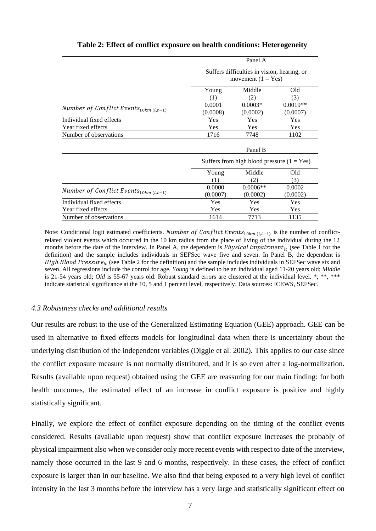|                                            | Panel A<br>Suffers difficulties in vision, hearing, or<br>movement $(1 = Yes)$ |                                              |                        |  |
|--------------------------------------------|--------------------------------------------------------------------------------|----------------------------------------------|------------------------|--|
|                                            |                                                                                |                                              |                        |  |
|                                            | Young<br>(1)                                                                   | Middle<br>(2)                                | Old<br>(3)             |  |
| Number of Conflict Events $_{10km(i,t-1)}$ | 0.0001<br>(0.0008)                                                             | $0.0003*$<br>(0.0002)                        | $0.0019**$<br>(0.0007) |  |
| Individual fixed effects                   | Yes                                                                            | Yes                                          | Yes                    |  |
| Year fixed effects                         | Yes                                                                            | Yes                                          | Yes                    |  |
| Number of observations                     | 1716                                                                           | 7748                                         | 1102                   |  |
|                                            | Panel B                                                                        |                                              |                        |  |
|                                            |                                                                                | Suffers from high blood pressure $(1 = Yes)$ |                        |  |
|                                            | Young<br>(1)                                                                   | Middle<br>(2)                                | Old<br>(3)             |  |
| Number of Conflict Events $_{10km(i,t-1)}$ | 0.0000<br>(0.0007)                                                             | $0.0006**$<br>(0.0002)                       | 0.0002<br>(0.0002)     |  |
| Individual fixed effects                   | Yes                                                                            | Yes                                          | Yes                    |  |
| Year fixed effects                         | <b>Yes</b>                                                                     | <b>Yes</b>                                   | Yes                    |  |
| Number of observations                     | 1614                                                                           | 7713                                         | 1135                   |  |

## **Table 2: Effect of conflict exposure on health conditions: Heterogeneity**

Note: Conditional logit estimated coefficients. *Number of Conflict Events*<sub>10 $km (i, t-1)$  is the number of conflict-</sub> related violent events which occurred in the 10 km radius from the place of living of the individual during the 12 months before the date of the interview. In Panel A, the dependent is *Physical impairment<sub>it</sub>* (see Table 1 for the definition) and the sample includes individuals in SEFSec wave five and seven. In Panel B, the dependent is *High Blood Pressure<sub>it</sub>* (see Table 2 for the definition) and the sample includes individuals in SEFSec wave six and seven. All regressions include the control for age. *Young* is defined to be an individual aged 11-20 years old; *Middle* is 21-54 years old; *Old* is 55-67 years old. Robust standard errors are clustered at the individual level. \*, \*\*, \*\*\* indicate statistical significance at the 10, 5 and 1 percent level, respectively. Data sources: ICEWS, SEFSec.

#### *4.3 Robustness checks and additional results*

Our results are robust to the use of the Generalized Estimating Equation (GEE) approach. GEE can be used in alternative to fixed effects models for longitudinal data when there is uncertainty about the underlying distribution of the independent variables (Diggle et al. 2002). This applies to our case since the conflict exposure measure is not normally distributed, and it is so even after a log-normalization. Results (available upon request) obtained using the GEE are reassuring for our main finding: for both health outcomes, the estimated effect of an increase in conflict exposure is positive and highly statistically significant.

Finally, we explore the effect of conflict exposure depending on the timing of the conflict events considered. Results (available upon request) show that conflict exposure increases the probably of physical impairment also when we consider only more recent events with respect to date of the interview, namely those occurred in the last 9 and 6 months, respectively. In these cases, the effect of conflict exposure is larger than in our baseline. We also find that being exposed to a very high level of conflict intensity in the last 3 months before the interview has a very large and statistically significant effect on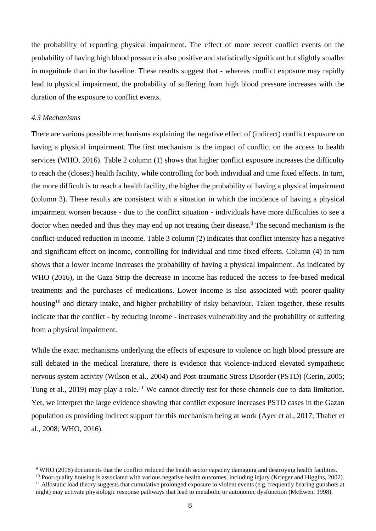the probability of reporting physical impairment. The effect of more recent conflict events on the probability of having high blood pressure is also positive and statistically significant but slightly smaller in magnitude than in the baseline. These results suggest that - whereas conflict exposure may rapidly lead to physical impairment, the probability of suffering from high blood pressure increases with the duration of the exposure to conflict events.

#### *4.3 Mechanisms*

There are various possible mechanisms explaining the negative effect of (indirect) conflict exposure on having a physical impairment. The first mechanism is the impact of conflict on the access to health services (WHO, 2016). Table 2 column (1) shows that higher conflict exposure increases the difficulty to reach the (closest) health facility, while controlling for both individual and time fixed effects. In turn, the more difficult is to reach a health facility, the higher the probability of having a physical impairment (column 3). These results are consistent with a situation in which the incidence of having a physical impairment worsen because - due to the conflict situation - individuals have more difficulties to see a doctor when needed and thus they may end up not treating their disease.<sup>9</sup> The second mechanism is the conflict-induced reduction in income. Table 3 column (2) indicates that conflict intensity has a negative and significant effect on income, controlling for individual and time fixed effects. Column (4) in turn shows that a lower income increases the probability of having a physical impairment. As indicated by WHO (2016), in the Gaza Strip the decrease in income has reduced the access to fee-based medical treatments and the purchases of medications. Lower income is also associated with poorer-quality housing<sup>10</sup> and dietary intake, and higher probability of risky behaviour. Taken together, these results indicate that the conflict - by reducing income - increases vulnerability and the probability of suffering from a physical impairment.

While the exact mechanisms underlying the effects of exposure to violence on high blood pressure are still debated in the medical literature, there is evidence that violence-induced elevated sympathetic nervous system activity (Wilson et al., 2004) and Post-traumatic Stress Disorder (PSTD) (Gerin, 2005; Tung et al., 2019) may play a role.<sup>11</sup> We cannot directly test for these channels due to data limitation. Yet, we interpret the large evidence showing that conflict exposure increases PSTD cases in the Gazan population as providing indirect support for this mechanism being at work (Ayer et al., 2017; Thabet et al., 2008; WHO, 2016).

<sup>&</sup>lt;sup>9</sup> WHO (2018) documents that the conflict reduced the health sector capacity damaging and destroying health facilities.

<sup>&</sup>lt;sup>10</sup> Poor-quality housing is associated with various negative health outcomes, including injury (Krieger and Higgins, 2002).  $11$  Allostatic load theory suggests that cumulative prolonged exposure to violent events (e.g. frequently hearing gunshots at night) may activate physiologic response pathways that lead to metabolic or autonomic dysfunction (McEwen, 1998).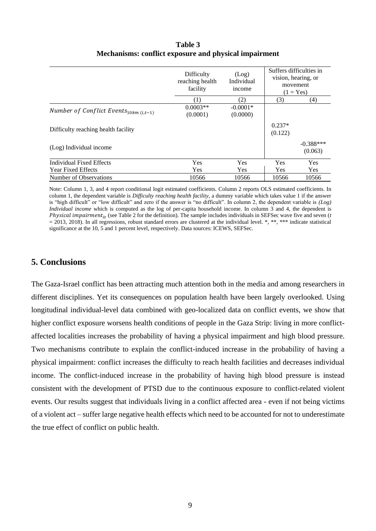|                                            | Difficulty<br>reaching health<br>facility | (Log)<br>Individual<br>income |                     | Suffers difficulties in<br>vision, hearing, or<br>movement<br>$(1 = Yes)$ |
|--------------------------------------------|-------------------------------------------|-------------------------------|---------------------|---------------------------------------------------------------------------|
|                                            | 1                                         | (2)                           | (3)                 | (4)                                                                       |
| Number of Conflict Events $_{10km(i,t-1)}$ | $0.0003**$<br>(0.0001)                    | $-0.0001*$<br>(0.0000)        |                     |                                                                           |
| Difficulty reaching health facility        |                                           |                               | $0.237*$<br>(0.122) |                                                                           |
| (Log) Individual income                    |                                           |                               |                     | $-0.388***$<br>(0.063)                                                    |
| <b>Individual Fixed Effects</b>            | Yes                                       | Yes                           | Yes                 | Yes                                                                       |
| <b>Year Fixed Effects</b>                  | <b>Yes</b>                                | <b>Yes</b>                    | <b>Yes</b>          | <b>Yes</b>                                                                |
| Number of Observations                     | 10566                                     | 10566                         | 10566               | 10566                                                                     |

**Table 3 Mechanisms: conflict exposure and physical impairment**

Note: Column 1, 3, and 4 report conditional logit estimated coefficients. Column 2 reports OLS estimated coefficients. In column 1, the dependent variable is *Difficulty reaching health facility*, a dummy variable which takes value 1 if the answer is "high difficult" or "low difficult" and zero if the answer is "no difficult". In column 2, the dependent variable is *(Log) Individual income* which is computed as the log of per-capita household income. In column 3 and 4, the dependent is *Physical impairment<sub>it</sub>* (see Table 2 for the definition). The sample includes individuals in SEFSec wave five and seven ( $t$  $= 2013, 2018$ ). In all regressions, robust standard errors are clustered at the individual level. \*, \*\*, \*\*\* indicate statistical significance at the 10, 5 and 1 percent level, respectively. Data sources: ICEWS, SEFSec.

# **5. Conclusions**

The Gaza-Israel conflict has been attracting much attention both in the media and among researchers in different disciplines. Yet its consequences on population health have been largely overlooked. Using longitudinal individual-level data combined with geo-localized data on conflict events, we show that higher conflict exposure worsens health conditions of people in the Gaza Strip: living in more conflictaffected localities increases the probability of having a physical impairment and high blood pressure. Two mechanisms contribute to explain the conflict-induced increase in the probability of having a physical impairment: conflict increases the difficulty to reach health facilities and decreases individual income. The conflict-induced increase in the probability of having high blood pressure is instead consistent with the development of PTSD due to the continuous exposure to conflict-related violent events. Our results suggest that individuals living in a conflict affected area - even if not being victims of a violent act – suffer large negative health effects which need to be accounted for not to underestimate the true effect of conflict on public health.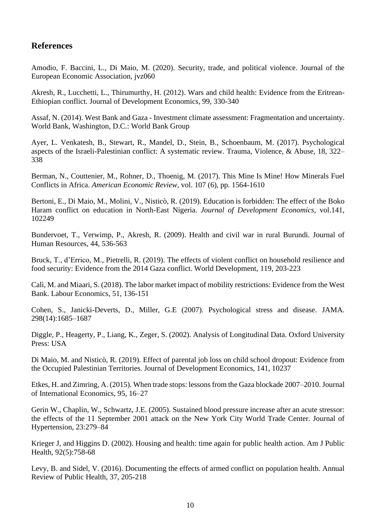# **References**

Amodio, F. Baccini, L., Di Maio, M. (2020). Security, trade, and political violence. Journal of the European Economic Association, jvz060

Akresh, R., Lucchetti, L., Thirumurthy, H. (2012). Wars and child health: Evidence from the Eritrean-Ethiopian conflict. Journal of Development Economics, 99, 330-340

Assaf, N. (2014). West Bank and Gaza - Investment climate assessment: Fragmentation and uncertainty. World Bank, Washington, D.C.: World Bank Group

Ayer, L. Venkatesh, B., Stewart, R., Mandel, D., Stein, B., Schoenbaum, M. (2017). Psychological aspects of the Israeli-Palestinian conflict: A systematic review. Trauma, Violence, & Abuse, 18, 322– 338

Berman, N., Couttenier, M., Rohner, D., Thoenig, M. (2017). This Mine Is Mine! How Minerals Fuel Conflicts in Africa. *American Economic Review*, vol. 107 (6), pp. 1564-1610

Bertoni, E., Di Maio, M., Molini, V., Nisticò, R. (2019). Education is forbidden: The effect of the Boko Haram conflict on education in North-East Nigeria. *Journal of Development Economics*, vol.141, 102249

Bundervoet, T., Verwimp, P., Akresh, R. (2009). Health and civil war in rural Burundi. Journal of Human Resources, 44, 536-563

Bruck, T., d'Errico, M., Pietrelli, R. (2019). The effects of violent conflict on household resilience and food security: Evidence from the 2014 Gaza conflict. World Development, 119, 203-223

Calì, M. and Miaari, S. (2018). The labor market impact of mobility restrictions: Evidence from the West Bank. Labour Economics, 51, 136-151

Cohen, S., Janicki-Deverts, D., Miller, G.E (2007). Psychological stress and disease. JAMA. 298(14):1685–1687

Diggle, P., Heagerty, P., Liang, K., Zeger, S. (2002). Analysis of Longitudinal Data. Oxford University Press: USA

Di Maio, M. and Nisticò, R. (2019). Effect of parental job loss on child school dropout: Evidence from the Occupied Palestinian Territories. Journal of Development Economics, 141, 10237

Etkes, H. and Zimring, A. (2015). When trade stops: lessons from the Gaza blockade 2007–2010. Journal of International Economics, 95, 16–27

Gerin W., Chaplin, W., Schwartz, J.E. (2005). Sustained blood pressure increase after an acute stressor: the effects of the 11 September 2001 attack on the New York City World Trade Center. Journal of Hypertension, 23:279–84

Krieger J, and Higgins D. (2002). Housing and health: time again for public health action. Am J Public Health, 92(5):758-68

Levy, B. and Sidel, V. (2016). Documenting the effects of armed conflict on population health. Annual Review of Public Health, 37, 205-218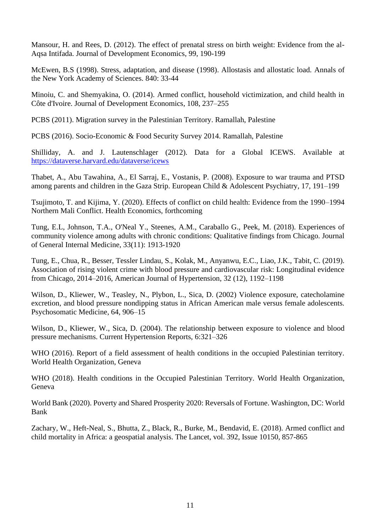Mansour, H. and Rees, D. (2012). The effect of prenatal stress on birth weight: Evidence from the al-Aqsa Intifada. Journal of Development Economics, 99, 190-199

McEwen, B.S (1998). Stress, adaptation, and disease (1998). Allostasis and allostatic load. [Annals of](https://nyaspubs.onlinelibrary.wiley.com/journal/17496632)  [the New York Academy of Sciences. 8](https://nyaspubs.onlinelibrary.wiley.com/journal/17496632)40: 33-44

Minoiu, C. and Shemyakina, O. (2014). Armed conflict, household victimization, and child health in Côte d'Ivoire. Journal of Development Economics, 108, 237–255

PCBS (2011). Migration survey in the Palestinian Territory. Ramallah, Palestine

PCBS (2016). Socio-Economic & Food Security Survey 2014. Ramallah, Palestine

Shilliday, A. and J. Lautenschlager (2012). Data for a Global ICEWS. Available at <https://dataverse.harvard.edu/dataverse/icews>

Thabet, A., Abu Tawahina, A., El Sarraj, E., Vostanis, P. (2008). Exposure to war trauma and PTSD among parents and children in the Gaza Strip. European Child & Adolescent Psychiatry, 17, 191–199

Tsujimoto, T. and Kijima, Y. (2020). Effects of conflict on child health: Evidence from the 1990–1994 Northern Mali Conflict. Health Economics, forthcoming

Tung, E.L, Johnson, T.A., O'Neal Y., Steenes, A.M., Caraballo G., Peek, M. (2018). Experiences of community violence among adults with chronic conditions: Qualitative findings from Chicago. Journal of General Internal Medicine, 33(11): 1913-1920

Tung, E., Chua, R., Besser, Tessler Lindau, S., Kolak, M., Anyanwu, E.C., Liao, J.K., Tabit, C. (2019). Association of rising violent crime with blood pressure and cardiovascular risk: Longitudinal evidence from Chicago, 2014–2016, American Journal of Hypertension, 32 (12), 1192–1198

Wilson, D., Kliewer, W., Teasley, N., Plybon, L., Sica, D. (2002) Violence exposure, catecholamine excretion, and blood pressure nondipping status in African American male versus female adolescents. Psychosomatic Medicine, 64, 906–15

Wilson, D., Kliewer, W., Sica, D. (2004). The relationship between exposure to violence and blood pressure mechanisms. Current Hypertension Reports, 6:321–326

WHO (2016). Report of a field assessment of health conditions in the occupied Palestinian territory. World Health Organization, Geneva

WHO (2018). Health conditions in the Occupied Palestinian Territory. World Health Organization, Geneva

World Bank (2020). Poverty and Shared Prosperity 2020: Reversals of Fortune. Washington, DC: World Bank

Zachary, W., Heft-Neal, S., Bhutta, Z., Black, R., Burke, M., Bendavid, E. (2018). Armed conflict and child mortality in Africa: a geospatial analysis. The Lancet, vol. 392, Issue 10150, 857-865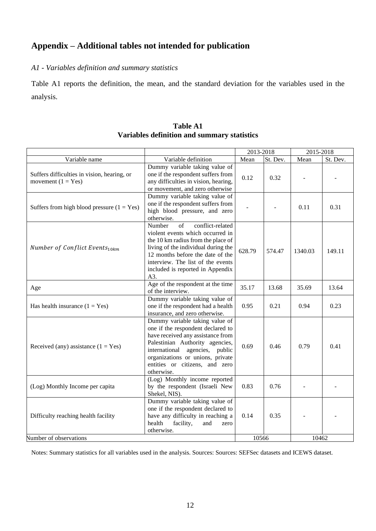# **Appendix – Additional tables not intended for publication**

# *A1 - Variables definition and summary statistics*

Table A1 reports the definition, the mean, and the standard deviation for the variables used in the analysis.

|                                                                     |                                                                                                                                                                                                                                                                       | 2013-2018      |          | 2015-2018      |          |
|---------------------------------------------------------------------|-----------------------------------------------------------------------------------------------------------------------------------------------------------------------------------------------------------------------------------------------------------------------|----------------|----------|----------------|----------|
| Variable name                                                       | Variable definition                                                                                                                                                                                                                                                   | Mean           | St. Dev. | Mean           | St. Dev. |
| Suffers difficulties in vision, hearing, or<br>movement $(1 = Yes)$ | Dummy variable taking value of<br>one if the respondent suffers from<br>any difficulties in vision, hearing,<br>or movement, and zero otherwise                                                                                                                       | 0.12           | 0.32     | $\overline{a}$ |          |
| Suffers from high blood pressure $(1 = Yes)$                        | Dummy variable taking value of<br>one if the respondent suffers from<br>high blood pressure, and zero<br>otherwise.                                                                                                                                                   |                |          | 0.11           | 0.31     |
| Number of Conflict Events <sub>10km</sub>                           | of<br>conflict-related<br>Number<br>violent events which occurred in<br>the 10 km radius from the place of<br>living of the individual during the<br>12 months before the date of the<br>interview. The list of the events<br>included is reported in Appendix<br>A3. | 628.79         | 574.47   | 1340.03        | 149.11   |
| Age                                                                 | Age of the respondent at the time<br>of the interview.                                                                                                                                                                                                                | 35.17          | 13.68    | 35.69          | 13.64    |
| Has health insurance $(1 = Yes)$                                    | Dummy variable taking value of<br>one if the respondent had a health<br>insurance, and zero otherwise.                                                                                                                                                                | 0.95           | 0.21     | 0.94           | 0.23     |
| Received (any) assistance $(1 = Yes)$                               | Dummy variable taking value of<br>one if the respondent declared to<br>have received any assistance from<br>Palestinian Authority agencies,<br>international<br>agencies, public<br>organizations or unions, private<br>entities or citizens, and zero<br>otherwise.  | 0.69           | 0.46     | 0.79           | 0.41     |
| (Log) Monthly Income per capita                                     | (Log) Monthly income reported<br>by the respondent (Israeli New<br>Shekel, NIS).                                                                                                                                                                                      | 0.83           | 0.76     |                |          |
| Difficulty reaching health facility                                 | Dummy variable taking value of<br>one if the respondent declared to<br>have any difficulty in reaching a<br>health<br>facility,<br>and<br>zero<br>otherwise.                                                                                                          | 0.14           | 0.35     |                |          |
| Number of observations                                              |                                                                                                                                                                                                                                                                       | 10566<br>10462 |          |                |          |

## **Table A1 Variables definition and summary statistics**

Notes: Summary statistics for all variables used in the analysis. Sources: Sources: SEFSec datasets and ICEWS dataset.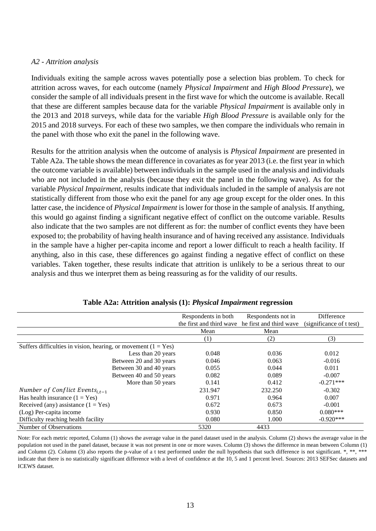## *A2 - Attrition analysis*

Individuals exiting the sample across waves potentially pose a selection bias problem. To check for attrition across waves, for each outcome (namely *Physical Impairment* and *High Blood Pressure*), we consider the sample of all individuals present in the first wave for which the outcome is available. Recall that these are different samples because data for the variable *Physical Impairment* is available only in the 2013 and 2018 surveys, while data for the variable *High Blood Pressure* is available only for the 2015 and 2018 surveys. For each of these two samples, we then compare the individuals who remain in the panel with those who exit the panel in the following wave.

Results for the attrition analysis when the outcome of analysis is *Physical Impairment* are presented in Table A2a. The table shows the mean difference in covariates as for year 2013 (i.e. the first year in which the outcome variable is available) between individuals in the sample used in the analysis and individuals who are not included in the analysis (because they exit the panel in the following wave). As for the variable *Physical Impairment*, results indicate that individuals included in the sample of analysis are not statistically different from those who exit the panel for any age group except for the older ones. In this latter case, the incidence of *Physical Impairment* is lower for those in the sample of analysis*.* If anything, this would go against finding a significant negative effect of conflict on the outcome variable. Results also indicate that the two samples are not different as for: the number of conflict events they have been exposed to; the probability of having health insurance and of having received any assistance. Individuals in the sample have a higher per-capita income and report a lower difficult to reach a health facility. If anything, also in this case, these differences go against finding a negative effect of conflict on these variables. Taken together, these results indicate that attrition is unlikely to be a serious threat to our analysis and thus we interpret them as being reassuring as for the validity of our results.

|                                                                  | Respondents in both      | Respondents not in      | Difference               |
|------------------------------------------------------------------|--------------------------|-------------------------|--------------------------|
|                                                                  | the first and third wave | he first and third wave | (significance of t test) |
|                                                                  | Mean                     | Mean                    |                          |
|                                                                  | (1)                      | (2)                     | (3)                      |
| Suffers difficulties in vision, hearing, or movement $(1 = Yes)$ |                          |                         |                          |
| Less than 20 years                                               | 0.048                    | 0.036                   | 0.012                    |
| Between 20 and 30 years                                          | 0.046                    | 0.063                   | $-0.016$                 |
| Between 30 and 40 years                                          | 0.055                    | 0.044                   | 0.011                    |
| Between 40 and 50 years                                          | 0.082                    | 0.089                   | $-0.007$                 |
| More than 50 years                                               | 0.141                    | 0.412                   | $-0.271***$              |
| Number of Conflict Events <sub>i.t-1</sub>                       | 231.947                  | 232.250                 | $-0.302$                 |
| Has health insurance $(1 = Yes)$                                 | 0.971                    | 0.964                   | 0.007                    |
| Received (any) assistance $(1 = Yes)$                            | 0.672                    | 0.673                   | $-0.001$                 |
| (Log) Per-capita income                                          | 0.930                    | 0.850                   | $0.080***$               |
| Difficulty reaching health facility                              | 0.080                    | 1.000                   | $-0.920***$              |
| Number of Observations                                           | 5320                     | 4433                    |                          |

|  |  | Table A2a: Attrition analysis (1): Physical Impairment regression |  |
|--|--|-------------------------------------------------------------------|--|
|  |  |                                                                   |  |

Note: For each metric reported, Column (1) shows the average value in the panel dataset used in the analysis. Column (2) shows the average value in the population not used in the panel dataset, because it was not present in one or more waves. Column (3) shows the difference in mean between Column (1) and Column (2). Column (3) also reports the p-value of a t test performed under the null hypothesis that such difference is not significant. \*, \*\*, \*\*\* indicate that there is no statistically significant difference with a level of confidence at the 10, 5 and 1 percent level. Sources: 2013 SEFSec datasets and ICEWS dataset.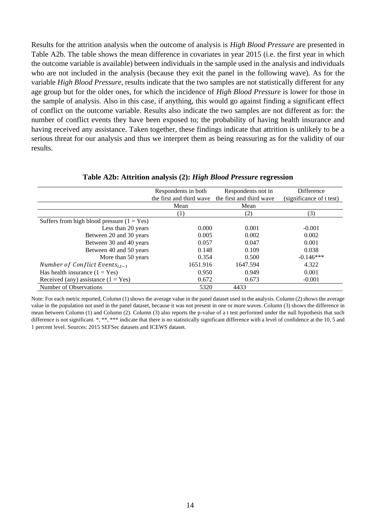Results for the attrition analysis when the outcome of analysis is *High Blood Pressure* are presented in Table A2b. The table shows the mean difference in covariates in year 2015 (i.e. the first year in which the outcome variable is available) between individuals in the sample used in the analysis and individuals who are not included in the analysis (because they exit the panel in the following wave). As for the variable *High Blood Pressure*, results indicate that the two samples are not statistically different for any age group but for the older ones, for which the incidence of *High Blood Pressure* is lower for those in the sample of analysis*.* Also in this case, if anything, this would go against finding a significant effect of conflict on the outcome variable. Results also indicate the two samples are not different as for: the number of conflict events they have been exposed to; the probability of having health insurance and having received any assistance. Taken together, these findings indicate that attrition is unlikely to be a serious threat for our analysis and thus we interpret them as being reassuring as for the validity of our results.

|                                              | Respondents in both      | Respondents not in       | <b>Difference</b>        |
|----------------------------------------------|--------------------------|--------------------------|--------------------------|
|                                              | the first and third wave | the first and third wave | (significance of t test) |
|                                              | Mean                     | Mean                     |                          |
|                                              | (1)                      | (2)                      | (3)                      |
| Suffers from high blood pressure $(1 = Yes)$ |                          |                          |                          |
| Less than 20 years                           | 0.000                    | 0.001                    | $-0.001$                 |
| Between 20 and 30 years                      | 0.005                    | 0.002                    | 0.002                    |
| Between 30 and 40 years                      | 0.057                    | 0.047                    | 0.001                    |
| Between 40 and 50 years                      | 0.148                    | 0.109                    | 0.038                    |
| More than 50 years                           | 0.354                    | 0.500                    | $-0.146***$              |
| Number of Conflict Events <sub>i.t-1</sub>   | 1651.916                 | 1647.594                 | 4.322                    |
| Has health insurance $(1 = Yes)$             | 0.950                    | 0.949                    | 0.001                    |
| Received (any) assistance $(1 = Yes)$        | 0.672                    | 0.673                    | $-0.001$                 |
| Number of Observations                       | 5320                     | 4433                     |                          |

## **Table A2b: Attrition analysis (2):** *High Blood Pressure* **regression**

Note: For each metric reported, Column (1) shows the average value in the panel dataset used in the analysis. Column (2) shows the average value in the population not used in the panel dataset, because it was not present in one or more waves. Column (3) shows the difference in mean between Column (1) and Column (2). Column (3) also reports the p-value of a t test performed under the null hypothesis that such difference is not significant. \*, \*\*, \*\*\* indicate that there is no statistically significant difference with a level of confidence at the 10, 5 and 1 percent level. Sources: 2015 SEFSec datasets and ICEWS dataset.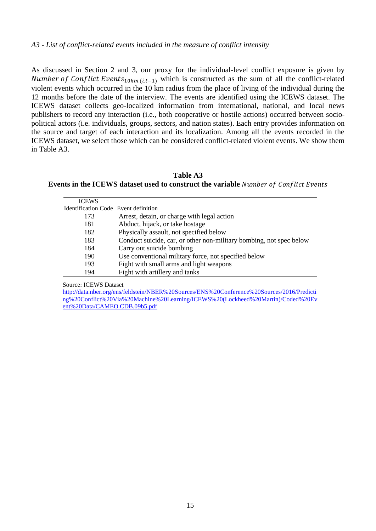As discussed in Section 2 and 3, our proxy for the individual-level conflict exposure is given by *Number of Conflict Events*<sub>10 *km* (*i.t*-1) which is constructed as the sum of all the conflict-related</sub> violent events which occurred in the 10 km radius from the place of living of the individual during the 12 months before the date of the interview. The events are identified using the ICEWS dataset. The ICEWS dataset collects geo-localized information from international, national, and local news publishers to record any interaction (i.e., both cooperative or hostile actions) occurred between sociopolitical actors (i.e. individuals, groups, sectors, and nation states). Each entry provides information on the source and target of each interaction and its localization. Among all the events recorded in the ICEWS dataset, we select those which can be considered conflict-related violent events. We show them in Table A3.

**Table A3 Events in the ICEWS dataset used to construct the variable** 

| <b>ICEWS</b>                         |                                                                     |
|--------------------------------------|---------------------------------------------------------------------|
| Identification Code Event definition |                                                                     |
| 173                                  | Arrest, detain, or charge with legal action                         |
| 181                                  | Abduct, hijack, or take hostage                                     |
| 182                                  | Physically assault, not specified below                             |
| 183                                  | Conduct suicide, car, or other non-military bombing, not spec below |
| 184                                  | Carry out suicide bombing                                           |
| 190                                  | Use conventional military force, not specified below                |
| 193                                  | Fight with small arms and light weapons                             |
| 194                                  | Fight with artillery and tanks                                      |

Source: ICEWS Dataset

[http://data.nber.org/ens/feldstein/NBER%20Sources/ENS%20Conference%20Sources/2016/Predicti](http://data.nber.org/ens/feldstein/NBER%20Sources/ENS%20Conference%20Sources/2016/Predicting%20Conflict%20Via%20Machine%20Learning/ICEWS%20(Lockheed%20Martin)/Coded%20Event%20Data/CAMEO.CDB.09b5.pdf) [ng%20Conflict%20Via%20Machine%20Learning/ICEWS%20\(Lockheed%20Martin\)/Coded%20Ev](http://data.nber.org/ens/feldstein/NBER%20Sources/ENS%20Conference%20Sources/2016/Predicting%20Conflict%20Via%20Machine%20Learning/ICEWS%20(Lockheed%20Martin)/Coded%20Event%20Data/CAMEO.CDB.09b5.pdf) [ent%20Data/CAMEO.CDB.09b5.pdf](http://data.nber.org/ens/feldstein/NBER%20Sources/ENS%20Conference%20Sources/2016/Predicting%20Conflict%20Via%20Machine%20Learning/ICEWS%20(Lockheed%20Martin)/Coded%20Event%20Data/CAMEO.CDB.09b5.pdf)